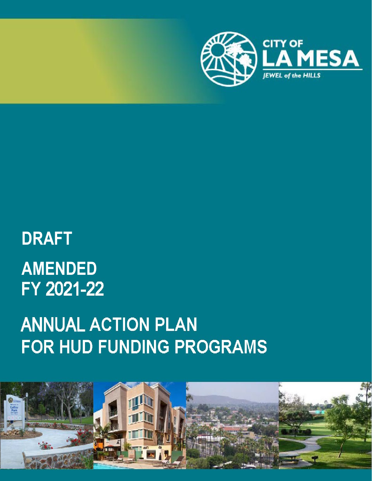

# **DRAFT AMENDED**FY 2021-22

# **ANNUAL ACTION PLAN FOR HUD FUNDING PROGRAMS**

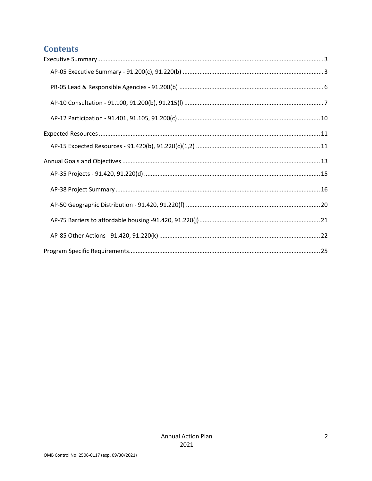# **Contents**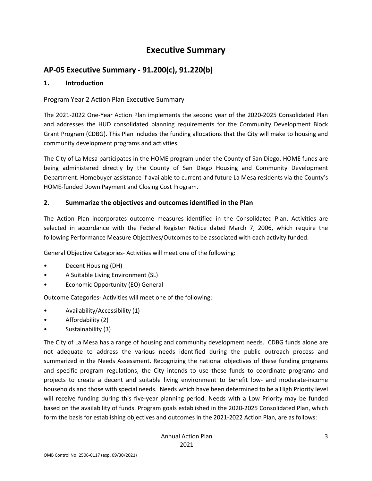# **Executive Summary**

# <span id="page-2-1"></span><span id="page-2-0"></span>**AP-05 Executive Summary - 91.200(c), 91.220(b)**

#### **1. Introduction**

#### Program Year 2 Action Plan Executive Summary

The 2021-2022 One-Year Action Plan implements the second year of the 2020-2025 Consolidated Plan and addresses the HUD consolidated planning requirements for the Community Development Block Grant Program (CDBG). This Plan includes the funding allocations that the City will make to housing and community development programs and activities.

The City of La Mesa participates in the HOME program under the County of San Diego. HOME funds are being administered directly by the County of San Diego Housing and Community Development Department. Homebuyer assistance if available to current and future La Mesa residents via the County's HOME-funded Down Payment and Closing Cost Program.

#### **2. Summarize the objectives and outcomes identified in the Plan**

The Action Plan incorporates outcome measures identified in the Consolidated Plan. Activities are selected in accordance with the Federal Register Notice dated March 7, 2006, which require the following Performance Measure Objectives/Outcomes to be associated with each activity funded:

General Objective Categories- Activities will meet one of the following:

- Decent Housing (DH)
- A Suitable Living Environment (SL)
- Economic Opportunity (EO) General

Outcome Categories- Activities will meet one of the following:

- Availability/Accessibility (1)
- Affordability (2)
- Sustainability (3)

The City of La Mesa has a range of housing and community development needs. CDBG funds alone are not adequate to address the various needs identified during the public outreach process and summarized in the Needs Assessment. Recognizing the national objectives of these funding programs and specific program regulations, the City intends to use these funds to coordinate programs and projects to create a decent and suitable living environment to benefit low- and moderate-income households and those with special needs. Needs which have been determined to be a High Priority level will receive funding during this five-year planning period. Needs with a Low Priority may be funded based on the availability of funds. Program goals established in the 2020-2025 Consolidated Plan, which form the basis for establishing objectives and outcomes in the 2021-2022 Action Plan, are as follows: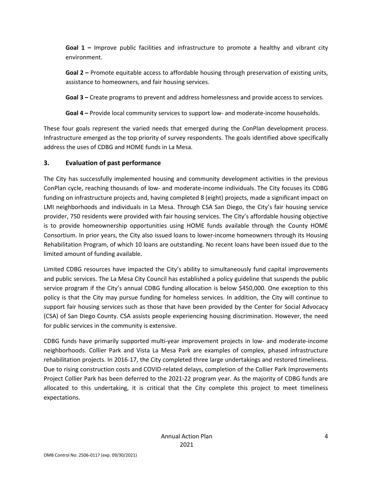**Goal 1 –** Improve public facilities and infrastructure to promote a healthy and vibrant city environment.

**Goal 2 –** Promote equitable access to affordable housing through preservation of existing units, assistance to homeowners, and fair housing services.

**Goal 3 –** Create programs to prevent and address homelessness and provide access to services.

**Goal 4 –** Provide local community services to support low- and moderate-income households.

These four goals represent the varied needs that emerged during the ConPlan development process. Infrastructure emerged as the top priority of survey respondents. The goals identified above specifically address the uses of CDBG and HOME funds in La Mesa.

#### **3. Evaluation of past performance**

The City has successfully implemented housing and community development activities in the previous ConPlan cycle, reaching thousands of low- and moderate-income individuals. The City focuses its CDBG funding on infrastructure projects and, having completed 8 (eight) projects, made a significant impact on LMI neighborhoods and individuals in La Mesa. Through CSA San Diego, the City's fair housing service provider, 750 residents were provided with fair housing services. The City's affordable housing objective is to provide homeownership opportunities using HOME funds available through the County HOME Consortium. In prior years, the City also issued loans to lower-income homeowners through its Housing Rehabilitation Program, of which 10 loans are outstanding. No recent loans have been issued due to the limited amount of funding available.

Limited CDBG resources have impacted the City's ability to simultaneously fund capital improvements and public services. The La Mesa City Council has established a policy guideline that suspends the public service program if the City's annual CDBG funding allocation is below \$450,000. One exception to this policy is that the City may pursue funding for homeless services. In addition, the City will continue to support fair housing services such as those that have been provided by the Center for Social Advocacy (CSA) of San Diego County. CSA assists people experiencing housing discrimination. However, the need for public services in the community is extensive.

CDBG funds have primarily supported multi-year improvement projects in low- and moderate-income neighborhoods. Collier Park and Vista La Mesa Park are examples of complex, phased infrastructure rehabilitation projects. In 2016-17, the City completed three large undertakings and restored timeliness. Due to rising construction costs and COVID-related delays, completion of the Collier Park Improvements Project Collier Park has been deferred to the 2021-22 program year. As the majority of CDBG funds are allocated to this undertaking, it is critical that the City complete this project to meet timeliness expectations.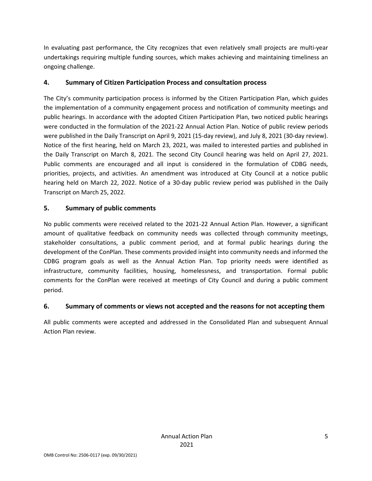In evaluating past performance, the City recognizes that even relatively small projects are multi-year undertakings requiring multiple funding sources, which makes achieving and maintaining timeliness an ongoing challenge.

#### **4. Summary of Citizen Participation Process and consultation process**

The City's community participation process is informed by the Citizen Participation Plan, which guides the implementation of a community engagement process and notification of community meetings and public hearings. In accordance with the adopted Citizen Participation Plan, two noticed public hearings were conducted in the formulation of the 2021-22 Annual Action Plan. Notice of public review periods were published in the Daily Transcript on April 9, 2021 (15-day review), and July 8, 2021 (30-day review). Notice of the first hearing, held on March 23, 2021, was mailed to interested parties and published in the Daily Transcript on March 8, 2021. The second City Council hearing was held on April 27, 2021. Public comments are encouraged and all input is considered in the formulation of CDBG needs, priorities, projects, and activities. An amendment was introduced at City Council at a notice public hearing held on March 22, 2022. Notice of a 30-day public review period was published in the Daily Transcript on March 25, 2022.

#### **5. Summary of public comments**

No public comments were received related to the 2021-22 Annual Action Plan. However, a significant amount of qualitative feedback on community needs was collected through community meetings, stakeholder consultations, a public comment period, and at formal public hearings during the development of the ConPlan. These comments provided insight into community needs and informed the CDBG program goals as well as the Annual Action Plan. Top priority needs were identified as infrastructure, community facilities, housing, homelessness, and transportation. Formal public comments for the ConPlan were received at meetings of City Council and during a public comment period.

#### **6. Summary of comments or views not accepted and the reasons for not accepting them**

All public comments were accepted and addressed in the Consolidated Plan and subsequent Annual Action Plan review.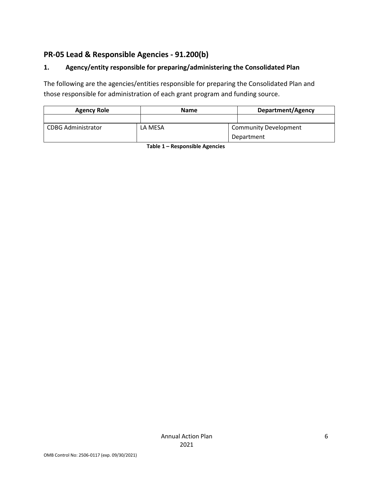# <span id="page-5-0"></span>**PR-05 Lead & Responsible Agencies - 91.200(b)**

#### **1. Agency/entity responsible for preparing/administering the Consolidated Plan**

The following are the agencies/entities responsible for preparing the Consolidated Plan and those responsible for administration of each grant program and funding source.

| <b>Agency Role</b>        | <b>Name</b> | Department/Agency            |
|---------------------------|-------------|------------------------------|
|                           |             |                              |
| <b>CDBG Administrator</b> | LA MESA     | <b>Community Development</b> |
|                           |             | Department                   |

**Table 1 – Responsible Agencies**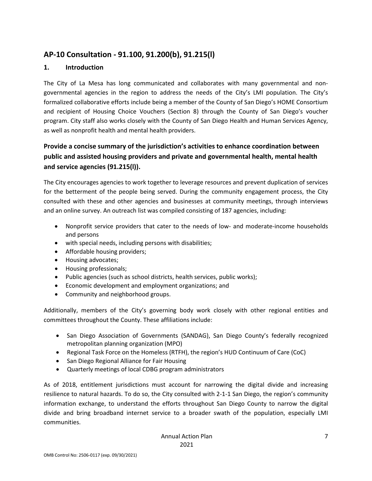# <span id="page-6-0"></span>**AP-10 Consultation - 91.100, 91.200(b), 91.215(l)**

#### **1. Introduction**

The City of La Mesa has long communicated and collaborates with many governmental and nongovernmental agencies in the region to address the needs of the City's LMI population. The City's formalized collaborative efforts include being a member of the County of San Diego's HOME Consortium and recipient of Housing Choice Vouchers (Section 8) through the County of San Diego's voucher program. City staff also works closely with the County of San Diego Health and Human Services Agency, as well as nonprofit health and mental health providers.

# **Provide a concise summary of the jurisdiction's activities to enhance coordination between public and assisted housing providers and private and governmental health, mental health and service agencies (91.215(l)).**

The City encourages agencies to work together to leverage resources and prevent duplication of services for the betterment of the people being served. During the community engagement process, the City consulted with these and other agencies and businesses at community meetings, through interviews and an online survey. An outreach list was compiled consisting of 187 agencies, including:

- Nonprofit service providers that cater to the needs of low- and moderate-income households and persons
- with special needs, including persons with disabilities;
- Affordable housing providers;
- Housing advocates;
- Housing professionals;
- Public agencies (such as school districts, health services, public works);
- Economic development and employment organizations; and
- Community and neighborhood groups.

Additionally, members of the City's governing body work closely with other regional entities and committees throughout the County. These affiliations include:

- San Diego Association of Governments (SANDAG), San Diego County's federally recognized metropolitan planning organization (MPO)
- Regional Task Force on the Homeless (RTFH), the region's HUD Continuum of Care (CoC)
- San Diego Regional Alliance for Fair Housing
- Quarterly meetings of local CDBG program administrators

As of 2018, entitlement jurisdictions must account for narrowing the digital divide and increasing resilience to natural hazards. To do so, the City consulted with 2-1-1 San Diego, the region's community information exchange, to understand the efforts throughout San Diego County to narrow the digital divide and bring broadband internet service to a broader swath of the population, especially LMI communities.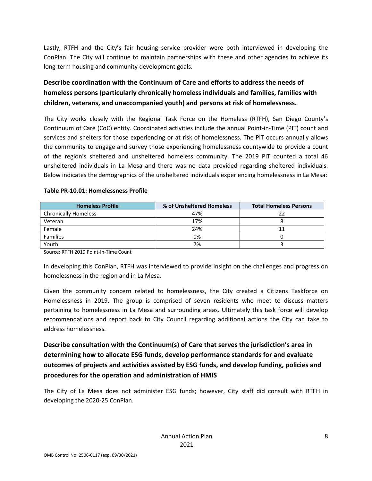Lastly, RTFH and the City's fair housing service provider were both interviewed in developing the ConPlan. The City will continue to maintain partnerships with these and other agencies to achieve its long-term housing and community development goals.

# **Describe coordination with the Continuum of Care and efforts to address the needs of homeless persons (particularly chronically homeless individuals and families, families with children, veterans, and unaccompanied youth) and persons at risk of homelessness.**

The City works closely with the Regional Task Force on the Homeless (RTFH), San Diego County's Continuum of Care (CoC) entity. Coordinated activities include the annual Point-in-Time (PIT) count and services and shelters for those experiencing or at risk of homelessness. The PIT occurs annually allows the community to engage and survey those experiencing homelessness countywide to provide a count of the region's sheltered and unsheltered homeless community. The 2019 PIT counted a total 46 unsheltered individuals in La Mesa and there was no data provided regarding sheltered individuals. Below indicates the demographics of the unsheltered individuals experiencing homelessness in La Mesa:

| <b>Homeless Profile</b>     | % of Unsheltered Homeless | <b>Total Homeless Persons</b> |
|-----------------------------|---------------------------|-------------------------------|
| <b>Chronically Homeless</b> | 47%                       |                               |
| Veteran                     | 17%                       |                               |
| Female                      | 24%                       |                               |
| <b>Families</b>             | 0%                        |                               |
| Youth                       | 7%                        |                               |

#### **Table PR-10.01: Homelessness Profile**

Source: RTFH 2019 Point-In-Time Count

In developing this ConPlan, RTFH was interviewed to provide insight on the challenges and progress on homelessness in the region and in La Mesa.

Given the community concern related to homelessness, the City created a Citizens Taskforce on Homelessness in 2019. The group is comprised of seven residents who meet to discuss matters pertaining to homelessness in La Mesa and surrounding areas. Ultimately this task force will develop recommendations and report back to City Council regarding additional actions the City can take to address homelessness.

**Describe consultation with the Continuum(s) of Care that serves the jurisdiction's area in determining how to allocate ESG funds, develop performance standards for and evaluate outcomes of projects and activities assisted by ESG funds, and develop funding, policies and procedures for the operation and administration of HMIS**

The City of La Mesa does not administer ESG funds; however, City staff did consult with RTFH in developing the 2020-25 ConPlan.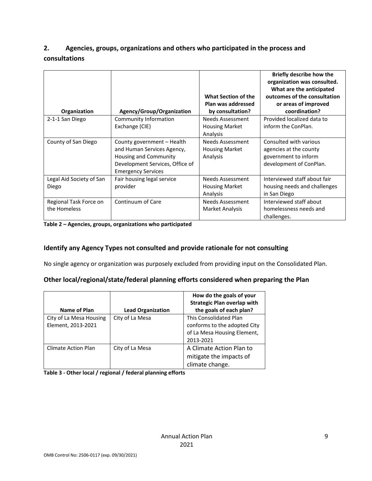# **2. Agencies, groups, organizations and others who participated in the process and consultations**

| Organization                           | Agency/Group/Organization                                                                                                                         | What Section of the<br>Plan was addressed<br>by consultation? | Briefly describe how the<br>organization was consulted.<br>What are the anticipated<br>outcomes of the consultation<br>or areas of improved<br>coordination? |
|----------------------------------------|---------------------------------------------------------------------------------------------------------------------------------------------------|---------------------------------------------------------------|--------------------------------------------------------------------------------------------------------------------------------------------------------------|
| 2-1-1 San Diego                        | Community Information<br>Exchange (CIE)                                                                                                           | <b>Needs Assessment</b><br><b>Housing Market</b><br>Analysis  | Provided localized data to<br>inform the ConPlan.                                                                                                            |
| County of San Diego                    | County government - Health<br>and Human Services Agency,<br>Housing and Community<br>Development Services, Office of<br><b>Emergency Services</b> | <b>Needs Assessment</b><br><b>Housing Market</b><br>Analysis  | Consulted with various<br>agencies at the county<br>government to inform<br>development of ConPlan.                                                          |
| Legal Aid Society of San<br>Diego      | Fair housing legal service<br>provider                                                                                                            | <b>Needs Assessment</b><br><b>Housing Market</b><br>Analysis  | Interviewed staff about fair<br>housing needs and challenges<br>in San Diego                                                                                 |
| Regional Task Force on<br>the Homeless | Continuum of Care                                                                                                                                 | <b>Needs Assessment</b><br>Market Analysis                    | Interviewed staff about<br>homelessness needs and<br>challenges.                                                                                             |

**Table 2 – Agencies, groups, organizations who participated**

#### **Identify any Agency Types not consulted and provide rationale for not consulting**

No single agency or organization was purposely excluded from providing input on the Consolidated Plan.

#### **Other local/regional/state/federal planning efforts considered when preparing the Plan**

|                                               |                          | How do the goals of your<br><b>Strategic Plan overlap with</b>                                            |
|-----------------------------------------------|--------------------------|-----------------------------------------------------------------------------------------------------------|
| Name of Plan                                  | <b>Lead Organization</b> | the goals of each plan?                                                                                   |
| City of La Mesa Housing<br>Element, 2013-2021 | City of La Mesa          | <b>This Consolidated Plan</b><br>conforms to the adopted City<br>of La Mesa Housing Element,<br>2013-2021 |
| <b>Climate Action Plan</b>                    | City of La Mesa          | A Climate Action Plan to<br>mitigate the impacts of<br>climate change.                                    |

**Table 3 - Other local / regional / federal planning efforts**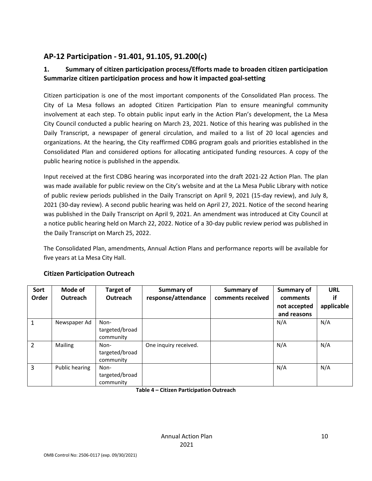# <span id="page-9-0"></span>**AP-12 Participation - 91.401, 91.105, 91.200(c)**

# **1. Summary of citizen participation process/Efforts made to broaden citizen participation Summarize citizen participation process and how it impacted goal-setting**

Citizen participation is one of the most important components of the Consolidated Plan process. The City of La Mesa follows an adopted Citizen Participation Plan to ensure meaningful community involvement at each step. To obtain public input early in the Action Plan's development, the La Mesa City Council conducted a public hearing on March 23, 2021. Notice of this hearing was published in the Daily Transcript, a newspaper of general circulation, and mailed to a list of 20 local agencies and organizations. At the hearing, the City reaffirmed CDBG program goals and priorities established in the Consolidated Plan and considered options for allocating anticipated funding resources. A copy of the public hearing notice is published in the appendix.

Input received at the first CDBG hearing was incorporated into the draft 2021-22 Action Plan. The plan was made available for public review on the City's website and at the La Mesa Public Library with notice of public review periods published in the Daily Transcript on April 9, 2021 (15-day review), and July 8, 2021 (30-day review). A second public hearing was held on April 27, 2021. Notice of the second hearing was published in the Daily Transcript on April 9, 2021. An amendment was introduced at City Council at a notice public hearing held on March 22, 2022. Notice of a 30-day public review period was published in the Daily Transcript on March 25, 2022.

The Consolidated Plan, amendments, Annual Action Plans and performance reports will be available for five years at La Mesa City Hall.

| Sort<br>Order  | Mode of<br>Outreach | <b>Target of</b><br><b>Outreach</b> | Summary of<br>response/attendance | <b>Summary of</b><br>comments received | <b>Summary of</b><br>comments<br>not accepted<br>and reasons | <b>URL</b><br>if<br>applicable |
|----------------|---------------------|-------------------------------------|-----------------------------------|----------------------------------------|--------------------------------------------------------------|--------------------------------|
| 1              | Newspaper Ad        | Non-<br>targeted/broad<br>community |                                   |                                        | N/A                                                          | N/A                            |
| $\overline{2}$ | Mailing             | Non-<br>targeted/broad<br>community | One inquiry received.             |                                        | N/A                                                          | N/A                            |
| 3              | Public hearing      | Non-<br>targeted/broad<br>community |                                   |                                        | N/A                                                          | N/A                            |

#### **Citizen Participation Outreach**

**Table 4 – Citizen Participation Outreach**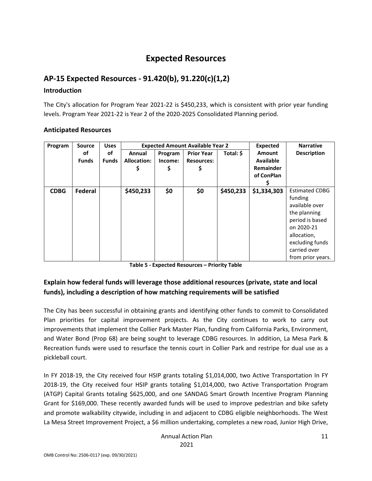# **Expected Resources**

# <span id="page-10-1"></span><span id="page-10-0"></span>**AP-15 Expected Resources - 91.420(b), 91.220(c)(1,2)**

#### **Introduction**

The City's allocation for Program Year 2021-22 is \$450,233, which is consistent with prior year funding levels. Program Year 2021-22 is Year 2 of the 2020-2025 Consolidated Planning period.

| Program     | <b>Source</b>      | <b>Uses</b>        |                                    | <b>Expected Amount Available Year 2</b> | Expected                                     | <b>Narrative</b> |                                                              |                                                                                                                                                                            |
|-------------|--------------------|--------------------|------------------------------------|-----------------------------------------|----------------------------------------------|------------------|--------------------------------------------------------------|----------------------------------------------------------------------------------------------------------------------------------------------------------------------------|
|             | οf<br><b>Funds</b> | of<br><b>Funds</b> | Annual<br><b>Allocation:</b><br>\$ | Program<br>Income:<br>\$                | <b>Prior Year</b><br><b>Resources:</b><br>\$ | Total: \$        | <b>Amount</b><br><b>Available</b><br>Remainder<br>of ConPlan | <b>Description</b>                                                                                                                                                         |
| <b>CDBG</b> | Federal            |                    | \$450,233                          | \$0                                     | \$0                                          | \$450,233        | \$1,334,303                                                  | <b>Estimated CDBG</b><br>funding<br>available over<br>the planning<br>period is based<br>on 2020-21<br>allocation,<br>excluding funds<br>carried over<br>from prior years. |

#### **Anticipated Resources**

**Table 5 - Expected Resources – Priority Table**

# **Explain how federal funds will leverage those additional resources (private, state and local funds), including a description of how matching requirements will be satisfied**

The City has been successful in obtaining grants and identifying other funds to commit to Consolidated Plan priorities for capital improvement projects. As the City continues to work to carry out improvements that implement the Collier Park Master Plan, funding from California Parks, Environment, and Water Bond (Prop 68) are being sought to leverage CDBG resources. In addition, La Mesa Park & Recreation funds were used to resurface the tennis court in Collier Park and restripe for dual use as a pickleball court.

In FY 2018-19, the City received four HSIP grants totaling \$1,014,000, two Active Transportation In FY 2018-19, the City received four HSIP grants totaling \$1,014,000, two Active Transportation Program (ATGP) Capital Grants totaling \$625,000, and one SANDAG Smart Growth Incentive Program Planning Grant for \$169,000. These recently awarded funds will be used to improve pedestrian and bike safety and promote walkability citywide, including in and adjacent to CDBG eligible neighborhoods. The West La Mesa Street Improvement Project, a \$6 million undertaking, completes a new road, Junior High Drive,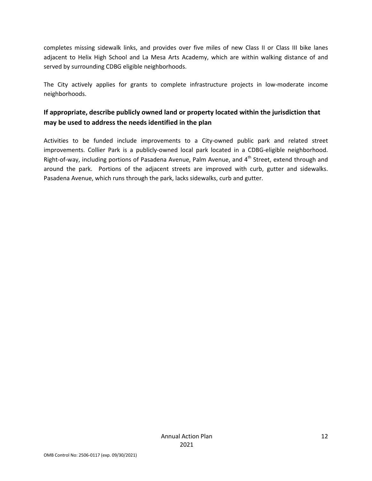completes missing sidewalk links, and provides over five miles of new Class II or Class III bike lanes adjacent to Helix High School and La Mesa Arts Academy, which are within walking distance of and served by surrounding CDBG eligible neighborhoods.

The City actively applies for grants to complete infrastructure projects in low-moderate income neighborhoods.

# **If appropriate, describe publicly owned land or property located within the jurisdiction that may be used to address the needs identified in the plan**

Activities to be funded include improvements to a City-owned public park and related street improvements. Collier Park is a publicly-owned local park located in a CDBG-eligible neighborhood. Right-of-way, including portions of Pasadena Avenue, Palm Avenue, and 4<sup>th</sup> Street, extend through and around the park. Portions of the adjacent streets are improved with curb, gutter and sidewalks. Pasadena Avenue, which runs through the park, lacks sidewalks, curb and gutter.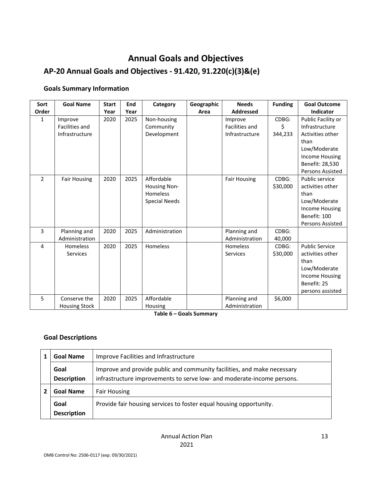# <span id="page-12-0"></span>**Annual Goals and Objectives AP-20 Annual Goals and Objectives - 91.420, 91.220(c)(3)&(e)**

#### **Goals Summary Information**

| Sort          | <b>Goal Name</b>                            | <b>Start</b> | End  | Category                                                                     | Geographic | <b>Needs</b>                                       | <b>Funding</b>         | <b>Goal Outcome</b>                                                                                                     |
|---------------|---------------------------------------------|--------------|------|------------------------------------------------------------------------------|------------|----------------------------------------------------|------------------------|-------------------------------------------------------------------------------------------------------------------------|
| Order         |                                             | Year         | Year |                                                                              | Area       | <b>Addressed</b>                                   |                        | Indicator                                                                                                               |
| 1             | Improve<br>Facilities and<br>Infrastructure | 2020         | 2025 | Non-housing<br>Community<br>Development                                      |            | Improve<br><b>Facilities and</b><br>Infrastructure | CDBG:<br>\$<br>344,233 | Public Facility or<br>Infrastructure<br>Activities other<br>than<br>Low/Moderate<br><b>Income Housing</b>               |
|               |                                             |              |      |                                                                              |            |                                                    |                        | Benefit: 28,530<br>Persons Assisted                                                                                     |
| $\mathcal{P}$ | <b>Fair Housing</b>                         | 2020         | 2025 | Affordable<br><b>Housing Non-</b><br><b>Homeless</b><br><b>Special Needs</b> |            | <b>Fair Housing</b>                                | $CDBG$ :<br>\$30,000   | Public service<br>activities other<br>than<br>Low/Moderate<br>Income Housing<br>Benefit: 100<br><b>Persons Assisted</b> |
| 3             | Planning and<br>Administration              | 2020         | 2025 | Administration                                                               |            | Planning and<br>Administration                     | CDBG:<br>40,000        |                                                                                                                         |
| 4             | Homeless<br><b>Services</b>                 | 2020         | 2025 | Homeless                                                                     |            | Homeless<br>Services                               | CDBG:<br>\$30,000      | <b>Public Service</b><br>activities other<br>than<br>Low/Moderate<br>Income Housing<br>Benefit: 25<br>persons assisted  |
| 5             | Conserve the<br><b>Housing Stock</b>        | 2020         | 2025 | Affordable<br>Housing                                                        |            | Planning and<br>Administration                     | \$6,000                |                                                                                                                         |

**Table 6 – Goals Summary**

#### **Goal Descriptions**

|                                         | <b>Goal Name</b>           | <b>Improve Facilities and Infrastructure</b>                                                                                                      |
|-----------------------------------------|----------------------------|---------------------------------------------------------------------------------------------------------------------------------------------------|
|                                         | Goal<br><b>Description</b> | Improve and provide public and community facilities, and make necessary<br>infrastructure improvements to serve low- and moderate-income persons. |
| <b>Goal Name</b><br><b>Fair Housing</b> |                            |                                                                                                                                                   |
|                                         | Goal                       | Provide fair housing services to foster equal housing opportunity.                                                                                |
|                                         | <b>Description</b>         |                                                                                                                                                   |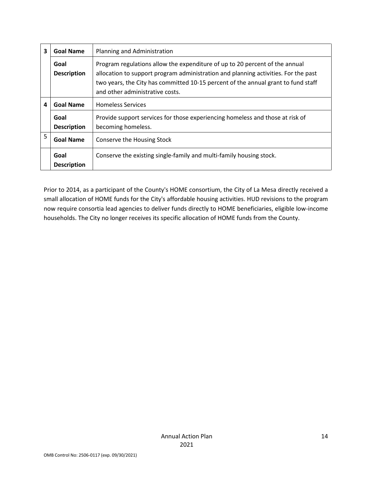| 3 | <b>Goal Name</b>           | Planning and Administration                                                                                                                                                                                                                                                               |
|---|----------------------------|-------------------------------------------------------------------------------------------------------------------------------------------------------------------------------------------------------------------------------------------------------------------------------------------|
|   | Goal<br><b>Description</b> | Program regulations allow the expenditure of up to 20 percent of the annual<br>allocation to support program administration and planning activities. For the past<br>two years, the City has committed 10-15 percent of the annual grant to fund staff<br>and other administrative costs. |
| 4 | <b>Goal Name</b>           | <b>Homeless Services</b>                                                                                                                                                                                                                                                                  |
|   | Goal<br><b>Description</b> | Provide support services for those experiencing homeless and those at risk of<br>becoming homeless.                                                                                                                                                                                       |
| 5 | <b>Goal Name</b>           | Conserve the Housing Stock                                                                                                                                                                                                                                                                |
|   | Goal<br><b>Description</b> | Conserve the existing single-family and multi-family housing stock.                                                                                                                                                                                                                       |

Prior to 2014, as a participant of the County's HOME consortium, the City of La Mesa directly received a small allocation of HOME funds for the City's affordable housing activities. HUD revisions to the program now require consortia lead agencies to deliver funds directly to HOME beneficiaries, eligible low-income households. The City no longer receives its specific allocation of HOME funds from the County.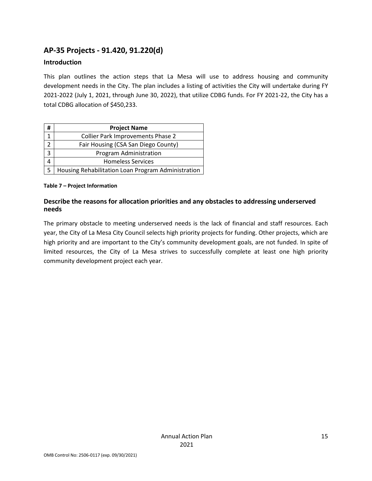# <span id="page-14-0"></span>**AP-35 Projects - 91.420, 91.220(d)**

#### **Introduction**

This plan outlines the action steps that La Mesa will use to address housing and community development needs in the City. The plan includes a listing of activities the City will undertake during FY 2021-2022 (July 1, 2021, through June 30, 2022), that utilize CDBG funds. For FY 2021-22, the City has a total CDBG allocation of \$450,233.

| #              | <b>Project Name</b>                                |
|----------------|----------------------------------------------------|
| 1              | <b>Collier Park Improvements Phase 2</b>           |
| $\mathfrak{D}$ | Fair Housing (CSA San Diego County)                |
| 3              | Program Administration                             |
|                | <b>Homeless Services</b>                           |
|                | Housing Rehabilitation Loan Program Administration |

#### **Table 7 – Project Information**

#### **Describe the reasons for allocation priorities and any obstacles to addressing underserved needs**

The primary obstacle to meeting underserved needs is the lack of financial and staff resources. Each year, the City of La Mesa City Council selects high priority projects for funding. Other projects, which are high priority and are important to the City's community development goals, are not funded. In spite of limited resources, the City of La Mesa strives to successfully complete at least one high priority community development project each year.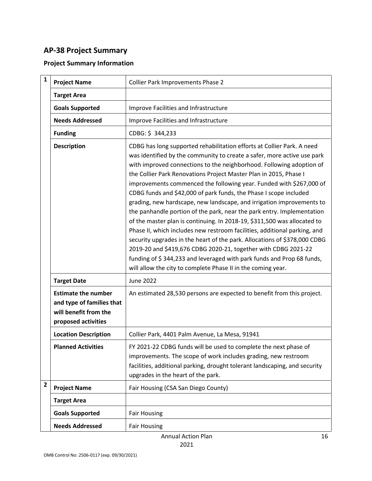# <span id="page-15-0"></span>**AP-38 Project Summary**

# **Project Summary Information**

| $\mathbf{1}$            |                                                                                                         |                                                                                                                                                                                                                                                                                                                                                                                                                                                                                                                                                                                                                                                                                                                                                                                                                                                                                                                                                                                                                                                |
|-------------------------|---------------------------------------------------------------------------------------------------------|------------------------------------------------------------------------------------------------------------------------------------------------------------------------------------------------------------------------------------------------------------------------------------------------------------------------------------------------------------------------------------------------------------------------------------------------------------------------------------------------------------------------------------------------------------------------------------------------------------------------------------------------------------------------------------------------------------------------------------------------------------------------------------------------------------------------------------------------------------------------------------------------------------------------------------------------------------------------------------------------------------------------------------------------|
|                         | <b>Project Name</b>                                                                                     | <b>Collier Park Improvements Phase 2</b>                                                                                                                                                                                                                                                                                                                                                                                                                                                                                                                                                                                                                                                                                                                                                                                                                                                                                                                                                                                                       |
|                         | <b>Target Area</b>                                                                                      |                                                                                                                                                                                                                                                                                                                                                                                                                                                                                                                                                                                                                                                                                                                                                                                                                                                                                                                                                                                                                                                |
|                         | <b>Goals Supported</b>                                                                                  | Improve Facilities and Infrastructure                                                                                                                                                                                                                                                                                                                                                                                                                                                                                                                                                                                                                                                                                                                                                                                                                                                                                                                                                                                                          |
|                         | <b>Needs Addressed</b>                                                                                  | Improve Facilities and Infrastructure                                                                                                                                                                                                                                                                                                                                                                                                                                                                                                                                                                                                                                                                                                                                                                                                                                                                                                                                                                                                          |
|                         | <b>Funding</b>                                                                                          | CDBG: \$344,233                                                                                                                                                                                                                                                                                                                                                                                                                                                                                                                                                                                                                                                                                                                                                                                                                                                                                                                                                                                                                                |
|                         | <b>Description</b>                                                                                      | CDBG has long supported rehabilitation efforts at Collier Park. A need<br>was identified by the community to create a safer, more active use park<br>with improved connections to the neighborhood. Following adoption of<br>the Collier Park Renovations Project Master Plan in 2015, Phase I<br>improvements commenced the following year. Funded with \$267,000 of<br>CDBG funds and \$42,000 of park funds, the Phase I scope included<br>grading, new hardscape, new landscape, and irrigation improvements to<br>the panhandle portion of the park, near the park entry. Implementation<br>of the master plan is continuing. In 2018-19, \$311,500 was allocated to<br>Phase II, which includes new restroom facilities, additional parking, and<br>security upgrades in the heart of the park. Allocations of \$378,000 CDBG<br>2019-20 and \$419,676 CDBG 2020-21, together with CDBG 2021-22<br>funding of \$344,233 and leveraged with park funds and Prop 68 funds,<br>will allow the city to complete Phase II in the coming year. |
|                         | <b>Target Date</b>                                                                                      | <b>June 2022</b>                                                                                                                                                                                                                                                                                                                                                                                                                                                                                                                                                                                                                                                                                                                                                                                                                                                                                                                                                                                                                               |
|                         | <b>Estimate the number</b><br>and type of families that<br>will benefit from the<br>proposed activities | An estimated 28,530 persons are expected to benefit from this project.                                                                                                                                                                                                                                                                                                                                                                                                                                                                                                                                                                                                                                                                                                                                                                                                                                                                                                                                                                         |
|                         | <b>Location Description</b>                                                                             | Collier Park, 4401 Palm Avenue, La Mesa, 91941                                                                                                                                                                                                                                                                                                                                                                                                                                                                                                                                                                                                                                                                                                                                                                                                                                                                                                                                                                                                 |
|                         | <b>Planned Activities</b>                                                                               | FY 2021-22 CDBG funds will be used to complete the next phase of<br>improvements. The scope of work includes grading, new restroom<br>facilities, additional parking, drought tolerant landscaping, and security<br>upgrades in the heart of the park.                                                                                                                                                                                                                                                                                                                                                                                                                                                                                                                                                                                                                                                                                                                                                                                         |
| $\overline{\mathbf{2}}$ | <b>Project Name</b>                                                                                     | Fair Housing (CSA San Diego County)                                                                                                                                                                                                                                                                                                                                                                                                                                                                                                                                                                                                                                                                                                                                                                                                                                                                                                                                                                                                            |
|                         | <b>Target Area</b>                                                                                      |                                                                                                                                                                                                                                                                                                                                                                                                                                                                                                                                                                                                                                                                                                                                                                                                                                                                                                                                                                                                                                                |
|                         | <b>Goals Supported</b>                                                                                  | <b>Fair Housing</b>                                                                                                                                                                                                                                                                                                                                                                                                                                                                                                                                                                                                                                                                                                                                                                                                                                                                                                                                                                                                                            |
|                         | <b>Needs Addressed</b>                                                                                  | <b>Fair Housing</b>                                                                                                                                                                                                                                                                                                                                                                                                                                                                                                                                                                                                                                                                                                                                                                                                                                                                                                                                                                                                                            |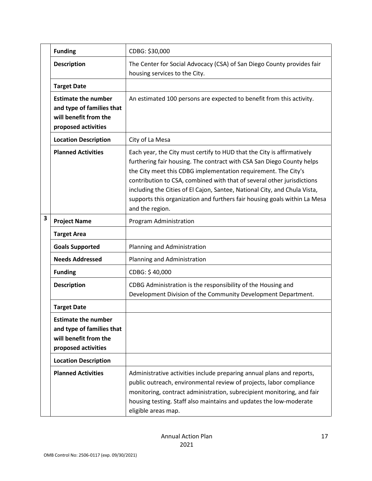|   | <b>Funding</b>                                                                                          | CDBG: \$30,000                                                                                                                                                                                                                                                                                                                                                                                                                                                           |
|---|---------------------------------------------------------------------------------------------------------|--------------------------------------------------------------------------------------------------------------------------------------------------------------------------------------------------------------------------------------------------------------------------------------------------------------------------------------------------------------------------------------------------------------------------------------------------------------------------|
|   | <b>Description</b>                                                                                      | The Center for Social Advocacy (CSA) of San Diego County provides fair<br>housing services to the City.                                                                                                                                                                                                                                                                                                                                                                  |
|   | <b>Target Date</b>                                                                                      |                                                                                                                                                                                                                                                                                                                                                                                                                                                                          |
|   | <b>Estimate the number</b><br>and type of families that<br>will benefit from the<br>proposed activities | An estimated 100 persons are expected to benefit from this activity.                                                                                                                                                                                                                                                                                                                                                                                                     |
|   | <b>Location Description</b>                                                                             | City of La Mesa                                                                                                                                                                                                                                                                                                                                                                                                                                                          |
|   | <b>Planned Activities</b>                                                                               | Each year, the City must certify to HUD that the City is affirmatively<br>furthering fair housing. The contract with CSA San Diego County helps<br>the City meet this CDBG implementation requirement. The City's<br>contribution to CSA, combined with that of several other jurisdictions<br>including the Cities of El Cajon, Santee, National City, and Chula Vista,<br>supports this organization and furthers fair housing goals within La Mesa<br>and the region. |
| 3 | <b>Project Name</b>                                                                                     | Program Administration                                                                                                                                                                                                                                                                                                                                                                                                                                                   |
|   | <b>Target Area</b>                                                                                      |                                                                                                                                                                                                                                                                                                                                                                                                                                                                          |
|   | <b>Goals Supported</b>                                                                                  | Planning and Administration                                                                                                                                                                                                                                                                                                                                                                                                                                              |
|   | <b>Needs Addressed</b>                                                                                  | Planning and Administration                                                                                                                                                                                                                                                                                                                                                                                                                                              |
|   | <b>Funding</b>                                                                                          | CDBG: \$40,000                                                                                                                                                                                                                                                                                                                                                                                                                                                           |
|   | <b>Description</b>                                                                                      | CDBG Administration is the responsibility of the Housing and<br>Development Division of the Community Development Department.                                                                                                                                                                                                                                                                                                                                            |
|   | <b>Target Date</b>                                                                                      |                                                                                                                                                                                                                                                                                                                                                                                                                                                                          |
|   | <b>Estimate the number</b><br>and type of families that<br>will benefit from the<br>proposed activities |                                                                                                                                                                                                                                                                                                                                                                                                                                                                          |
|   | <b>Location Description</b>                                                                             |                                                                                                                                                                                                                                                                                                                                                                                                                                                                          |
|   | <b>Planned Activities</b>                                                                               | Administrative activities include preparing annual plans and reports,<br>public outreach, environmental review of projects, labor compliance<br>monitoring, contract administration, subrecipient monitoring, and fair<br>housing testing. Staff also maintains and updates the low-moderate<br>eligible areas map.                                                                                                                                                      |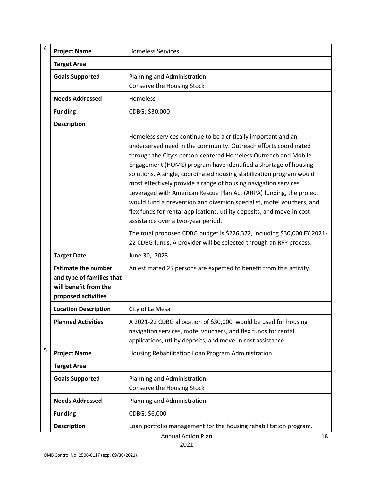| 4 | <b>Project Name</b>                                                                                     | <b>Homeless Services</b>                                                                                                                                                                                                                                                                                                                                                                                                                                                                                                                                                                                                                      |
|---|---------------------------------------------------------------------------------------------------------|-----------------------------------------------------------------------------------------------------------------------------------------------------------------------------------------------------------------------------------------------------------------------------------------------------------------------------------------------------------------------------------------------------------------------------------------------------------------------------------------------------------------------------------------------------------------------------------------------------------------------------------------------|
|   | <b>Target Area</b>                                                                                      |                                                                                                                                                                                                                                                                                                                                                                                                                                                                                                                                                                                                                                               |
|   | <b>Goals Supported</b>                                                                                  | Planning and Administration<br>Conserve the Housing Stock                                                                                                                                                                                                                                                                                                                                                                                                                                                                                                                                                                                     |
|   | <b>Needs Addressed</b>                                                                                  | <b>Homeless</b>                                                                                                                                                                                                                                                                                                                                                                                                                                                                                                                                                                                                                               |
|   | <b>Funding</b>                                                                                          | CDBG: \$30,000                                                                                                                                                                                                                                                                                                                                                                                                                                                                                                                                                                                                                                |
|   | <b>Description</b>                                                                                      | Homeless services continue to be a critically important and an<br>underserved need in the community. Outreach efforts coordinated<br>through the City's person-centered Homeless Outreach and Mobile<br>Engagement (HOME) program have identified a shortage of housing<br>solutions. A single, coordinated housing stabilization program would<br>most effectively provide a range of housing navigation services.<br>Leveraged with American Rescue Plan Act (ARPA) funding, the project<br>would fund a prevention and diversion specialist, motel vouchers, and<br>flex funds for rental applications, utility deposits, and move-in cost |
|   |                                                                                                         | assistance over a two-year period.<br>The total proposed CDBG budget is \$226,372, including \$30,000 FY 2021-<br>22 CDBG funds. A provider will be selected through an RFP process.                                                                                                                                                                                                                                                                                                                                                                                                                                                          |
|   | <b>Target Date</b>                                                                                      | June 30, 2023                                                                                                                                                                                                                                                                                                                                                                                                                                                                                                                                                                                                                                 |
|   | <b>Estimate the number</b><br>and type of families that<br>will benefit from the<br>proposed activities | An estimated 25 persons are expected to benefit from this activity.                                                                                                                                                                                                                                                                                                                                                                                                                                                                                                                                                                           |
|   | <b>Location Description</b>                                                                             | City of La Mesa                                                                                                                                                                                                                                                                                                                                                                                                                                                                                                                                                                                                                               |
|   | <b>Planned Activities</b>                                                                               | A 2021-22 CDBG allocation of \$30,000 would be used for housing<br>navigation services, motel vouchers, and flex funds for rental<br>applications, utility deposits, and move-in cost assistance.                                                                                                                                                                                                                                                                                                                                                                                                                                             |
| 5 | <b>Project Name</b>                                                                                     | Housing Rehabilitation Loan Program Administration                                                                                                                                                                                                                                                                                                                                                                                                                                                                                                                                                                                            |
|   | <b>Target Area</b>                                                                                      |                                                                                                                                                                                                                                                                                                                                                                                                                                                                                                                                                                                                                                               |
|   | <b>Goals Supported</b>                                                                                  | Planning and Administration<br>Conserve the Housing Stock                                                                                                                                                                                                                                                                                                                                                                                                                                                                                                                                                                                     |
|   | <b>Needs Addressed</b>                                                                                  | Planning and Administration                                                                                                                                                                                                                                                                                                                                                                                                                                                                                                                                                                                                                   |
|   | <b>Funding</b>                                                                                          | CDBG: \$6,000                                                                                                                                                                                                                                                                                                                                                                                                                                                                                                                                                                                                                                 |
|   | <b>Description</b>                                                                                      | Loan portfolio management for the housing rehabilitation program.                                                                                                                                                                                                                                                                                                                                                                                                                                                                                                                                                                             |

Annual Action Plan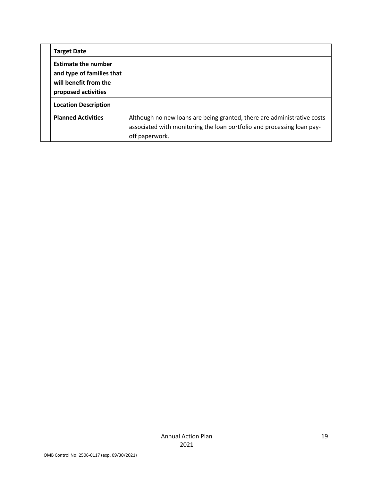| <b>Target Date</b>                                                                                      |                                                                                                                                                                     |
|---------------------------------------------------------------------------------------------------------|---------------------------------------------------------------------------------------------------------------------------------------------------------------------|
| <b>Estimate the number</b><br>and type of families that<br>will benefit from the<br>proposed activities |                                                                                                                                                                     |
| <b>Location Description</b>                                                                             |                                                                                                                                                                     |
| <b>Planned Activities</b>                                                                               | Although no new loans are being granted, there are administrative costs<br>associated with monitoring the loan portfolio and processing loan pay-<br>off paperwork. |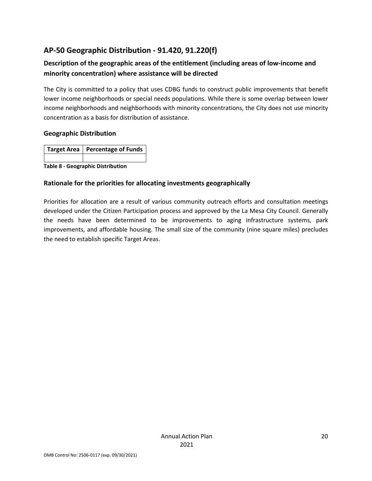# <span id="page-19-0"></span>**AP-50 Geographic Distribution - 91.420, 91.220(f)**

# **Description of the geographic areas of the entitlement (including areas of low-income and minority concentration) where assistance will be directed**

The City is committed to a policy that uses CDBG funds to construct public improvements that benefit lower income neighborhoods or special needs populations. While there is some overlap between lower income neighborhoods and neighborhoods with minority concentrations, the City does not use minority concentration as a basis for distribution of assistance.

#### **Geographic Distribution**

| Target Area   Percentage of Funds |
|-----------------------------------|
|                                   |

**Table 8 - Geographic Distribution** 

#### **Rationale for the priorities for allocating investments geographically**

Priorities for allocation are a result of various community outreach efforts and consultation meetings developed under the Citizen Participation process and approved by the La Mesa City Council. Generally the needs have been determined to be improvements to aging infrastructure systems, park improvements, and affordable housing. The small size of the community (nine square miles) precludes the need to establish specific Target Areas.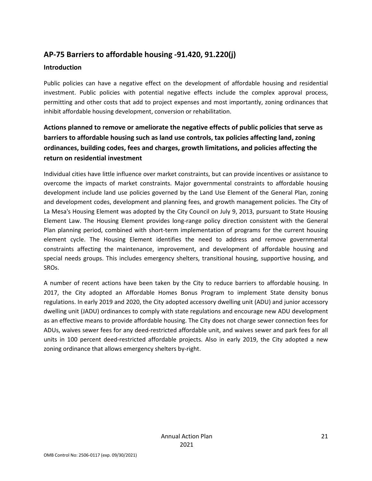# <span id="page-20-0"></span>**AP-75 Barriers to affordable housing -91.420, 91.220(j)**

#### **Introduction**

Public policies can have a negative effect on the development of affordable housing and residential investment. Public policies with potential negative effects include the complex approval process, permitting and other costs that add to project expenses and most importantly, zoning ordinances that inhibit affordable housing development, conversion or rehabilitation.

# **Actions planned to remove or ameliorate the negative effects of public policies that serve as barriers to affordable housing such as land use controls, tax policies affecting land, zoning ordinances, building codes, fees and charges, growth limitations, and policies affecting the return on residential investment**

Individual cities have little influence over market constraints, but can provide incentives or assistance to overcome the impacts of market constraints. Major governmental constraints to affordable housing development include land use policies governed by the Land Use Element of the General Plan, zoning and development codes, development and planning fees, and growth management policies. The City of La Mesa's Housing Element was adopted by the City Council on July 9, 2013, pursuant to State Housing Element Law. The Housing Element provides long-range policy direction consistent with the General Plan planning period, combined with short-term implementation of programs for the current housing element cycle. The Housing Element identifies the need to address and remove governmental constraints affecting the maintenance, improvement, and development of affordable housing and special needs groups. This includes emergency shelters, transitional housing, supportive housing, and SROs.

A number of recent actions have been taken by the City to reduce barriers to affordable housing. In 2017, the City adopted an Affordable Homes Bonus Program to implement State density bonus regulations. In early 2019 and 2020, the City adopted accessory dwelling unit (ADU) and junior accessory dwelling unit (JADU) ordinances to comply with state regulations and encourage new ADU development as an effective means to provide affordable housing. The City does not charge sewer connection fees for ADUs, waives sewer fees for any deed-restricted affordable unit, and waives sewer and park fees for all units in 100 percent deed-restricted affordable projects. Also in early 2019, the City adopted a new zoning ordinance that allows emergency shelters by-right.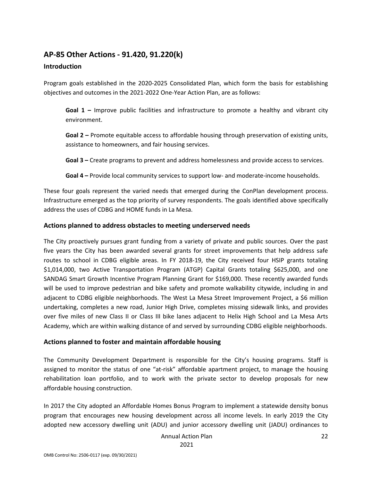#### <span id="page-21-0"></span>**AP-85 Other Actions - 91.420, 91.220(k)**

#### **Introduction**

Program goals established in the 2020-2025 Consolidated Plan, which form the basis for establishing objectives and outcomes in the 2021-2022 One-Year Action Plan, are as follows:

**Goal 1 –** Improve public facilities and infrastructure to promote a healthy and vibrant city environment.

**Goal 2 –** Promote equitable access to affordable housing through preservation of existing units, assistance to homeowners, and fair housing services.

**Goal 3 –** Create programs to prevent and address homelessness and provide access to services.

**Goal 4 –** Provide local community services to support low- and moderate-income households.

These four goals represent the varied needs that emerged during the ConPlan development process. Infrastructure emerged as the top priority of survey respondents. The goals identified above specifically address the uses of CDBG and HOME funds in La Mesa.

#### **Actions planned to address obstacles to meeting underserved needs**

The City proactively pursues grant funding from a variety of private and public sources. Over the past five years the City has been awarded several grants for street improvements that help address safe routes to school in CDBG eligible areas. In FY 2018-19, the City received four HSIP grants totaling \$1,014,000, two Active Transportation Program (ATGP) Capital Grants totaling \$625,000, and one SANDAG Smart Growth Incentive Program Planning Grant for \$169,000. These recently awarded funds will be used to improve pedestrian and bike safety and promote walkability citywide, including in and adjacent to CDBG eligible neighborhoods. The West La Mesa Street Improvement Project, a \$6 million undertaking, completes a new road, Junior High Drive, completes missing sidewalk links, and provides over five miles of new Class II or Class III bike lanes adjacent to Helix High School and La Mesa Arts Academy, which are within walking distance of and served by surrounding CDBG eligible neighborhoods.

#### **Actions planned to foster and maintain affordable housing**

The Community Development Department is responsible for the City's housing programs. Staff is assigned to monitor the status of one "at-risk" affordable apartment project, to manage the housing rehabilitation loan portfolio, and to work with the private sector to develop proposals for new affordable housing construction.

In 2017 the City adopted an Affordable Homes Bonus Program to implement a statewide density bonus program that encourages new housing development across all income levels. In early 2019 the City adopted new accessory dwelling unit (ADU) and junior accessory dwelling unit (JADU) ordinances to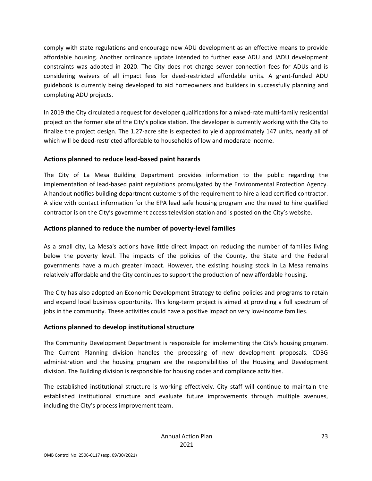comply with state regulations and encourage new ADU development as an effective means to provide affordable housing. Another ordinance update intended to further ease ADU and JADU development constraints was adopted in 2020. The City does not charge sewer connection fees for ADUs and is considering waivers of all impact fees for deed-restricted affordable units. A grant-funded ADU guidebook is currently being developed to aid homeowners and builders in successfully planning and completing ADU projects.

In 2019 the City circulated a request for developer qualifications for a mixed-rate multi-family residential project on the former site of the City's police station. The developer is currently working with the City to finalize the project design. The 1.27-acre site is expected to yield approximately 147 units, nearly all of which will be deed-restricted affordable to households of low and moderate income.

#### **Actions planned to reduce lead-based paint hazards**

The City of La Mesa Building Department provides information to the public regarding the implementation of lead-based paint regulations promulgated by the Environmental Protection Agency. A handout notifies building department customers of the requirement to hire a lead certified contractor. A slide with contact information for the EPA lead safe housing program and the need to hire qualified contractor is on the City's government access television station and is posted on the City's website.

#### **Actions planned to reduce the number of poverty-level families**

As a small city, La Mesa's actions have little direct impact on reducing the number of families living below the poverty level. The impacts of the policies of the County, the State and the Federal governments have a much greater impact. However, the existing housing stock in La Mesa remains relatively affordable and the City continues to support the production of new affordable housing.

The City has also adopted an Economic Development Strategy to define policies and programs to retain and expand local business opportunity. This long-term project is aimed at providing a full spectrum of jobs in the community. These activities could have a positive impact on very low-income families.

#### **Actions planned to develop institutional structure**

The Community Development Department is responsible for implementing the City's housing program. The Current Planning division handles the processing of new development proposals. CDBG administration and the housing program are the responsibilities of the Housing and Development division. The Building division is responsible for housing codes and compliance activities.

The established institutional structure is working effectively. City staff will continue to maintain the established institutional structure and evaluate future improvements through multiple avenues, including the City's process improvement team.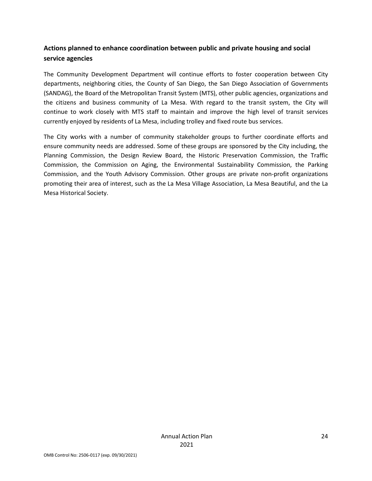# **Actions planned to enhance coordination between public and private housing and social service agencies**

The Community Development Department will continue efforts to foster cooperation between City departments, neighboring cities, the County of San Diego, the San Diego Association of Governments (SANDAG), the Board of the Metropolitan Transit System (MTS), other public agencies, organizations and the citizens and business community of La Mesa. With regard to the transit system, the City will continue to work closely with MTS staff to maintain and improve the high level of transit services currently enjoyed by residents of La Mesa, including trolley and fixed route bus services.

The City works with a number of community stakeholder groups to further coordinate efforts and ensure community needs are addressed. Some of these groups are sponsored by the City including, the Planning Commission, the Design Review Board, the Historic Preservation Commission, the Traffic Commission, the Commission on Aging, the Environmental Sustainability Commission, the Parking Commission, and the Youth Advisory Commission. Other groups are private non-profit organizations promoting their area of interest, such as the La Mesa Village Association, La Mesa Beautiful, and the La Mesa Historical Society.